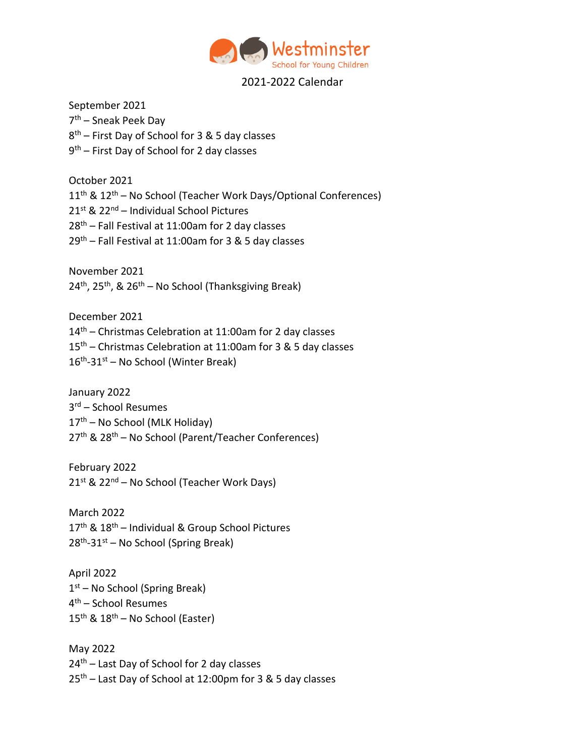

## 2021-2022 Calendar

September 2021 7<sup>th</sup> – Sneak Peek Day 8<sup>th</sup> – First Day of School for 3 & 5 day classes 9<sup>th</sup> – First Day of School for 2 day classes

October 2021 11<sup>th</sup> & 12<sup>th</sup> – No School (Teacher Work Days/Optional Conferences) 21st & 22nd – Individual School Pictures  $28<sup>th</sup>$  – Fall Festival at 11:00am for 2 day classes  $29<sup>th</sup>$  – Fall Festival at 11:00am for 3 & 5 day classes

November 2021  $24<sup>th</sup>$ ,  $25<sup>th</sup>$ , &  $26<sup>th</sup>$  – No School (Thanksgiving Break)

December 2021 14th – Christmas Celebration at 11:00am for 2 day classes 15th – Christmas Celebration at 11:00am for 3 & 5 day classes 16<sup>th</sup>-31<sup>st</sup> – No School (Winter Break)

January 2022 3 rd – School Resumes  $17<sup>th</sup>$  – No School (MLK Holiday) 27th & 28th – No School (Parent/Teacher Conferences)

February 2022  $21^{st}$  &  $22^{nd}$  – No School (Teacher Work Days)

March 2022  $17<sup>th</sup>$  &  $18<sup>th</sup>$  – Individual & Group School Pictures 28<sup>th</sup>-31<sup>st</sup> – No School (Spring Break)

April 2022 1<sup>st</sup> – No School (Spring Break) 4 th – School Resumes  $15<sup>th</sup>$  &  $18<sup>th</sup>$  – No School (Easter)

May 2022 24<sup>th</sup> – Last Day of School for 2 day classes  $25<sup>th</sup>$  – Last Day of School at 12:00pm for 3 & 5 day classes